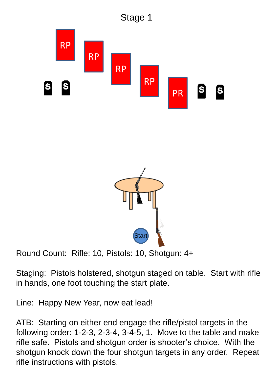



Staging: Pistols holstered, shotgun staged on table. Start with rifle in hands, one foot touching the start plate.

Line: Happy New Year, now eat lead!

ATB: Starting on either end engage the rifle/pistol targets in the following order: 1-2-3, 2-3-4, 3-4-5, 1. Move to the table and make rifle safe. Pistols and shotgun order is shooter's choice. With the shotgun knock down the four shotgun targets in any order. Repeat rifle instructions with pistols.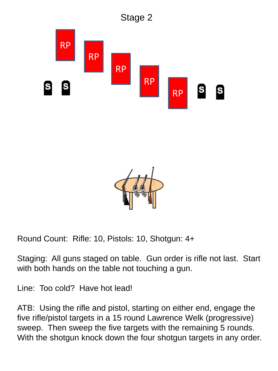



Staging: All guns staged on table. Gun order is rifle not last. Start with both hands on the table not touching a gun.

Line: Too cold? Have hot lead!

ATB: Using the rifle and pistol, starting on either end, engage the five rifle/pistol targets in a 15 round Lawrence Welk (progressive) sweep. Then sweep the five targets with the remaining 5 rounds. With the shotgun knock down the four shotgun targets in any order.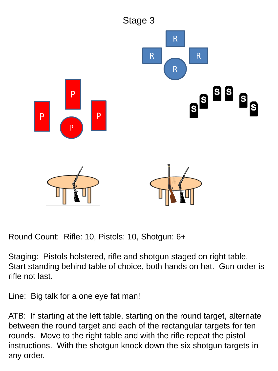

Staging: Pistols holstered, rifle and shotgun staged on right table. Start standing behind table of choice, both hands on hat. Gun order is rifle not last.

Line: Big talk for a one eye fat man!

ATB: If starting at the left table, starting on the round target, alternate between the round target and each of the rectangular targets for ten rounds. Move to the right table and with the rifle repeat the pistol instructions. With the shotgun knock down the six shotgun targets in any order.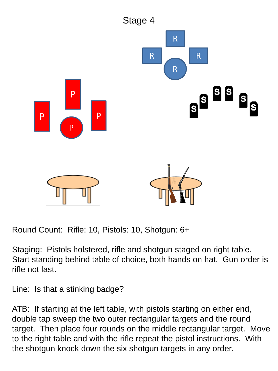

Staging: Pistols holstered, rifle and shotgun staged on right table. Start standing behind table of choice, both hands on hat. Gun order is rifle not last.

Line: Is that a stinking badge?

ATB: If starting at the left table, with pistols starting on either end, double tap sweep the two outer rectangular targets and the round target. Then place four rounds on the middle rectangular target. Move to the right table and with the rifle repeat the pistol instructions. With the shotgun knock down the six shotgun targets in any order.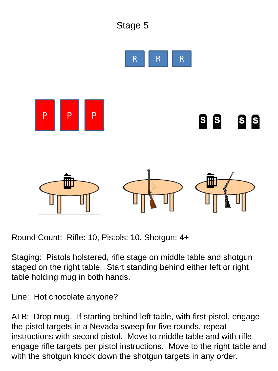

Staging: Pistols holstered, rifle stage on middle table and shotgun staged on the right table. Start standing behind either left or right table holding mug in both hands.

Line: Hot chocolate anyone?

ATB: Drop mug. If starting behind left table, with first pistol, engage the pistol targets in a Nevada sweep for five rounds, repeat instructions with second pistol. Move to middle table and with rifle engage rifle targets per pistol instructions. Move to the right table and with the shotgun knock down the shotgun targets in any order.